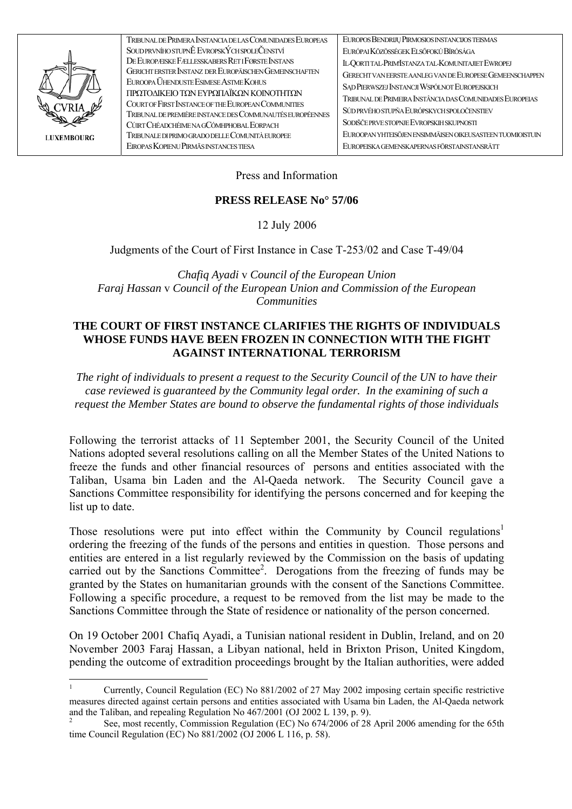

| TRIBUNAL DE PRIMERA INSTANCIA DE LAS COMUNIDADES EUROPEAS | EUROPOS BENDRIJŲ PIRMOSIOS INSTANCIJOS TEISMAS            |
|-----------------------------------------------------------|-----------------------------------------------------------|
| SOUDPRVNÍHO STUPNĚ EVROPSKÝCH SPOLEČENSTVÍ                | EURÓPAI KÖZÖSSÉGEK ELSŐFOKÚ BÍRÓSÁGA                      |
| DE EUROPÆISKE FÆLLESSKABERS RET I FØRSTE INSTANS          | IL-QORTITAL-PRIMISTANZA TAL-KOMUNITAJIET EWROPEJ          |
| GERICHT ERSTER INSTANZ DER EUROPÄISCHEN GEMEINSCHAFTEN    | GERECHT VAN EERSTE AANLEG VAN DE EUROPESE GEMEENSCHAPPEN  |
| EUROOPA ÜHENDUSTE ESIMESE ASTME KOHUS                     | SĄD PIERWSZEJ INSTANCJI WSPÓLNOT EUROPEJSKICH             |
| ΠΡΩΤΟΔΙΚΕΙΟ ΤΩΝ ΕΥΡΩΠΑΪΚΩΝ ΚΟΙΝΟΤΗΤΩΝ                     | TRIBUNAL DE PRIMEIRA INSTÂNCIA DAS COMUNIDADES EUROPEIAS  |
| COURT OF FIRST INSTANCE OF THE EUROPEAN COMMUNITIES       |                                                           |
| TRIBUNAL DE PREMIÈRE INSTANCE DES COMMUNAUTÉS EUROPÉENNES | SÚD PRVÉHO STUPŇA EURÓPSKYCH SPOLOČENSTIEV                |
| CÚRT CHÉADCHÉIME NA GCÓMHPHOBAL EORPACH                   | SODIŠČE PRVE STOPNJE EVROPSKIH SKUPNOSTI                  |
| TRIBUNALE DI PRIMO GRADO DELLE COMUNITÀ EUROPEE           | EUROOPAN YHTEISÖJEN ENSIMMÄISEN OIKEUSASTEEN TUOMIOISTUIN |
| EIROPAS KOPIENU PIRMĀS INSTANCES TIESA                    | EUROPEISKA GEMENSKAPERNAS FÖRSTAINSTANSRÄTT               |
|                                                           |                                                           |

Press and Information

## PRESS RELEASE No<sup>o</sup> 57/06

12 July 2006

Judgments of the Court of First Instance in Case T-253/02 and Case T-49/04

Chafiq Ayadi v Council of the European Union Faraj Hassan v Council of the European Union and Commission of the European **Communities** 

## THE COURT OF FIRST INSTANCE CLARIFIES THE RIGHTS OF INDIVIDUALS WHOSE FUNDS HAVE BEEN FROZEN IN CONNECTION WITH THE FIGHT **AGAINST INTERNATIONAL TERRORISM**

The right of individuals to present a request to the Security Council of the UN to have their case reviewed is guaranteed by the Community legal order. In the examining of such a request the Member States are bound to observe the fundamental rights of those individuals

Following the terrorist attacks of 11 September 2001, the Security Council of the United Nations adopted several resolutions calling on all the Member States of the United Nations to freeze the funds and other financial resources of persons and entities associated with the Taliban, Usama bin Laden and the Al-Qaeda network. The Security Council gave a Sanctions Committee responsibility for identifying the persons concerned and for keeping the list up to date.

Those resolutions were put into effect within the Community by Council regulations<sup>1</sup> ordering the freezing of the funds of the persons and entities in question. Those persons and entities are entered in a list regularly reviewed by the Commission on the basis of updating carried out by the Sanctions Committee<sup>2</sup>. Derogations from the freezing of funds may be granted by the States on humanitarian grounds with the consent of the Sanctions Committee. Following a specific procedure, a request to be removed from the list may be made to the Sanctions Committee through the State of residence or nationality of the person concerned.

On 19 October 2001 Chafiq Ayadi, a Tunisian national resident in Dublin, Ireland, and on 20 November 2003 Faraj Hassan, a Libyan national, held in Brixton Prison, United Kingdom, pending the outcome of extradition proceedings brought by the Italian authorities, were added

<span id="page-0-0"></span>Currently, Council Regulation (EC) No 881/2002 of 27 May 2002 imposing certain specific restrictive measures directed against certain persons and entities associated with Usama bin Laden, the Al-Qaeda network and the Taliban, and repealing Regulation No 467/2001 (OJ 2002 L 139, p. 9).

<span id="page-0-1"></span>See, most recently, Commission Regulation (EC) No 674/2006 of 28 April 2006 amending for the 65th time Council Regulation (EC) No 881/2002 (OJ 2006 L 116, p. 58).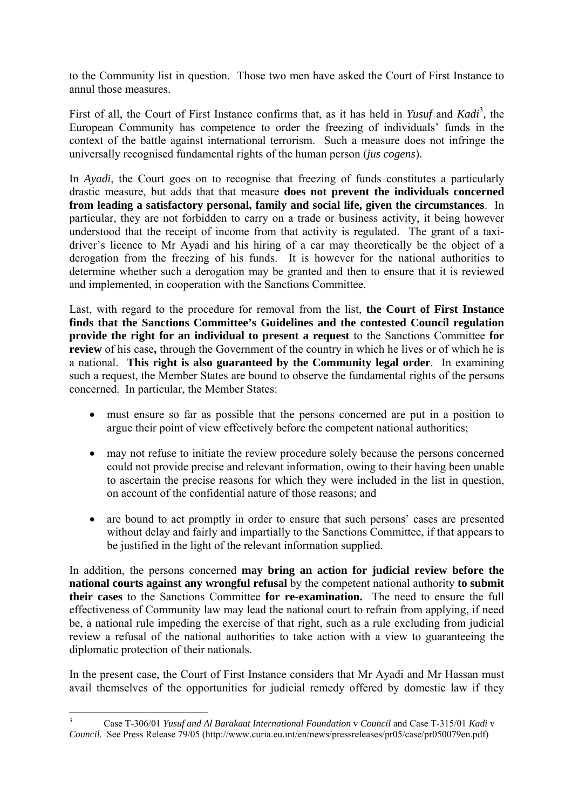to the Community list in question. Those two men have asked the Court of First Instance to annul those measures.

First of all, the Court of First Instance confirms that, as it has held in *Yusuf* and *Kadi*<sup>[3](#page-1-0)</sup>, the European Community has competence to order the freezing of individuals' funds in the context of the battle against international terrorism. Such a measure does not infringe the universally recognised fundamental rights of the human person (*jus cogens*).

In *Ayadi*, the Court goes on to recognise that freezing of funds constitutes a particularly drastic measure, but adds that that measure **does not prevent the individuals concerned from leading a satisfactory personal, family and social life, given the circumstances**. In particular, they are not forbidden to carry on a trade or business activity, it being however understood that the receipt of income from that activity is regulated. The grant of a taxidriver's licence to Mr Ayadi and his hiring of a car may theoretically be the object of a derogation from the freezing of his funds. It is however for the national authorities to determine whether such a derogation may be granted and then to ensure that it is reviewed and implemented, in cooperation with the Sanctions Committee.

Last, with regard to the procedure for removal from the list, **the Court of First Instance finds that the Sanctions Committee's Guidelines and the contested Council regulation provide the right for an individual to present a request** to the Sanctions Committee **for review** of his case**,** through the Government of the country in which he lives or of which he is a national. **This right is also guaranteed by the Community legal order**. In examining such a request, the Member States are bound to observe the fundamental rights of the persons concerned. In particular, the Member States:

- must ensure so far as possible that the persons concerned are put in a position to argue their point of view effectively before the competent national authorities;
- may not refuse to initiate the review procedure solely because the persons concerned could not provide precise and relevant information, owing to their having been unable to ascertain the precise reasons for which they were included in the list in question, on account of the confidential nature of those reasons; and
- are bound to act promptly in order to ensure that such persons' cases are presented without delay and fairly and impartially to the Sanctions Committee, if that appears to be justified in the light of the relevant information supplied.

In addition, the persons concerned **may bring an action for judicial review before the national courts against any wrongful refusal** by the competent national authority **to submit their cases** to the Sanctions Committee **for re-examination.** The need to ensure the full effectiveness of Community law may lead the national court to refrain from applying, if need be, a national rule impeding the exercise of that right, such as a rule excluding from judicial review a refusal of the national authorities to take action with a view to guaranteeing the diplomatic protection of their nationals.

In the present case, the Court of First Instance considers that Mr Ayadi and Mr Hassan must avail themselves of the opportunities for judicial remedy offered by domestic law if they

<span id="page-1-0"></span> 3 Case T-306/01 *Yusuf and Al Barakaat International Foundation* v *Council* and Case T-315/01 *Kadi* v *Council*. See Press Release 79/05 (http://www.curia.eu.int/en/news/pressreleases/pr05/case/pr050079en.pdf)